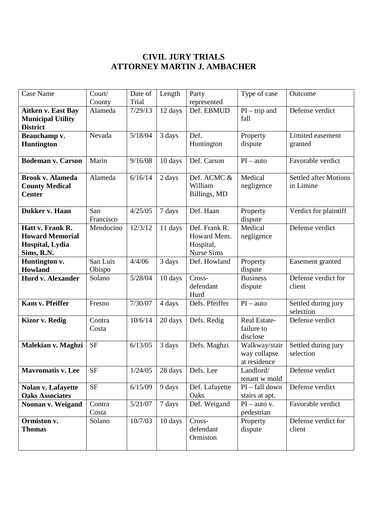## **CIVIL JURY TRIALS ATTORNEY MARTIN J. AMBACHER**

| <b>Case Name</b>                                                            | Court/<br>County   | Date of<br>Trial | Length  | Party<br>represented                                           | Type of case                                  | Outcome                                   |
|-----------------------------------------------------------------------------|--------------------|------------------|---------|----------------------------------------------------------------|-----------------------------------------------|-------------------------------------------|
| <b>Aitken v. East Bay</b><br><b>Municipal Utility</b><br><b>District</b>    | Alameda            | 7/29/13          | 12 days | Def. EBMUD                                                     | $PI - trip$ and<br>fall                       | Defense verdict                           |
| Beauchamp v.<br><b>Huntington</b>                                           | Nevada             | 5/18/04          | 3 days  | Def.<br>Huntington                                             | Property<br>dispute                           | Limited easement<br>granted               |
| <b>Bodeman v. Carson</b>                                                    | Marin              | 9/16/08          | 10 days | Def. Carson                                                    | $PI - auto$                                   | Favorable verdict                         |
| <b>Brook v. Alameda</b><br><b>County Medical</b><br><b>Center</b>           | Alameda            | 6/16/14          | 2 days  | Def. ACMC &<br>William<br>Billings, MD                         | Medical<br>negligence                         | <b>Settled after Motions</b><br>in Limine |
| Dukker v. Haan                                                              | San<br>Francisco   | 4/25/05          | 7 days  | Def. Haan                                                      | Property<br>dispute                           | Verdict for plaintiff                     |
| Hatt v. Frank R.<br><b>Howard Memorial</b><br>Hospital, Lydia<br>Sims, R.N. | Mendocino          | 12/3/12          | 11 days | Def. Frank R.<br>Howard Mem.<br>Hospital,<br><b>Nurse Sims</b> | Medical<br>negligence                         | Defense verdict                           |
| Huntington v.<br>Howland                                                    | San Luis<br>Obispo | 4/4/06           | 3 days  | Def. Howland                                                   | Property<br>dispute                           | Easement granted                          |
| Hurd v. Alexander                                                           | Solano             | 5/28/04          | 10 days | Cross-<br>defendant<br>Hurd                                    | <b>Business</b><br>dispute                    | Defense verdict for<br>client             |
| Kam v. Pfeiffer                                                             | Fresno             | 7/30/07          | 4 days  | Defs. Pfeiffer                                                 | $PI - auto$                                   | Settled during jury<br>selection          |
| <b>Kizor v. Redig</b>                                                       | Contra<br>Costa    | 10/6/14          | 20 days | Defs. Redig                                                    | Real Estate-<br>failure to<br>disclose        | Defense verdict                           |
| Malekian v. Maghzi                                                          | <b>SF</b>          | 6/13/05          | 3 days  | Defs. Maghzi                                                   | Walkway/stair<br>way collapse<br>at residence | Settled during jury<br>selection          |
| <b>Mavromatis v. Lee</b>                                                    | <b>SF</b>          | 1/24/05          | 28 days | Defs. Lee                                                      | Landlord/<br>tenant w mold                    | Defense verdict                           |
| <b>Nolan v. Lafayette</b><br><b>Oaks Associates</b>                         | <b>SF</b>          | 6/15/09          | 9 days  | Def. Lafayette<br>Oaks                                         | PI - fall down<br>stairs at apt.              | Defense verdict                           |
| Noonan v. Weigand                                                           | Contra<br>Costa    | 5/21/07          | 7 days  | Def. Weigand                                                   | $PI - auto v.$<br>pedestrian                  | Favorable verdict                         |
| Ormiston v.<br><b>Thomas</b>                                                | Solano             | 10/7/03          | 10 days | Cross-<br>defendant<br>Ormiston                                | Property<br>dispute                           | Defense verdict for<br>client             |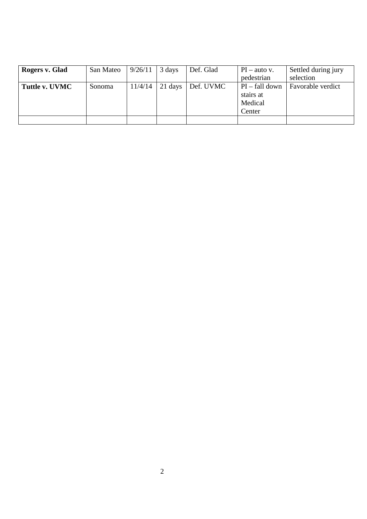| Rogers v. Glad | San Mateo | 9/26/11 | 3 days  | Def. Glad | $PI - auto v.$   | Settled during jury |
|----------------|-----------|---------|---------|-----------|------------------|---------------------|
|                |           |         |         |           | pedestrian       | selection           |
| Tuttle v. UVMC | Sonoma    | 11/4/14 | 21 days | Def. UVMC | $PI - fall down$ | Favorable verdict   |
|                |           |         |         |           | stairs at        |                     |
|                |           |         |         |           | Medical          |                     |
|                |           |         |         |           | Center           |                     |
|                |           |         |         |           |                  |                     |